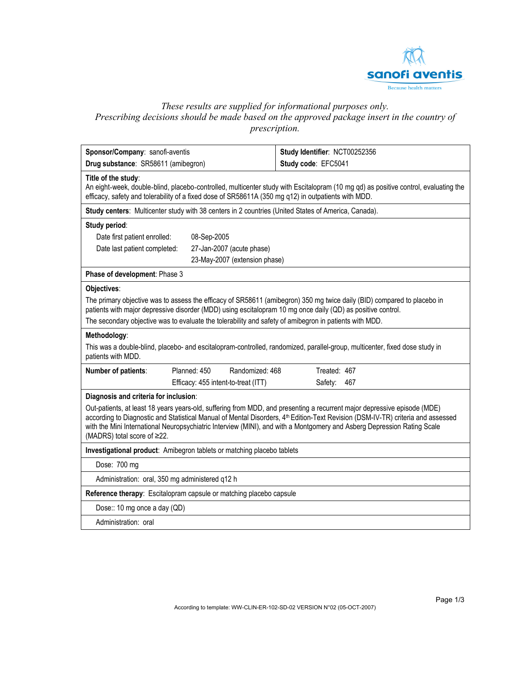

# *These results are supplied for informational purposes only. Prescribing decisions should be made based on the approved package insert in the country of prescription.*

| Sponsor/Company: sanofi-aventis                                                                                                                                                                                                        |                                                                                                     |                                                                                                                                                                                                                                                                                                                                                                                                    |  |  |  |
|----------------------------------------------------------------------------------------------------------------------------------------------------------------------------------------------------------------------------------------|-----------------------------------------------------------------------------------------------------|----------------------------------------------------------------------------------------------------------------------------------------------------------------------------------------------------------------------------------------------------------------------------------------------------------------------------------------------------------------------------------------------------|--|--|--|
| Drug substance: SR58611 (amibegron)                                                                                                                                                                                                    |                                                                                                     | Study Identifier: NCT00252356                                                                                                                                                                                                                                                                                                                                                                      |  |  |  |
|                                                                                                                                                                                                                                        |                                                                                                     | Study code: EFC5041                                                                                                                                                                                                                                                                                                                                                                                |  |  |  |
| Title of the study:                                                                                                                                                                                                                    | efficacy, safety and tolerability of a fixed dose of SR58611A (350 mg q12) in outpatients with MDD. | An eight-week, double-blind, placebo-controlled, multicenter study with Escitalopram (10 mg qd) as positive control, evaluating the                                                                                                                                                                                                                                                                |  |  |  |
|                                                                                                                                                                                                                                        | Study centers: Multicenter study with 38 centers in 2 countries (United States of America, Canada). |                                                                                                                                                                                                                                                                                                                                                                                                    |  |  |  |
| Study period:                                                                                                                                                                                                                          |                                                                                                     |                                                                                                                                                                                                                                                                                                                                                                                                    |  |  |  |
| Date first patient enrolled:                                                                                                                                                                                                           | 08-Sep-2005                                                                                         |                                                                                                                                                                                                                                                                                                                                                                                                    |  |  |  |
| Date last patient completed:                                                                                                                                                                                                           | 27-Jan-2007 (acute phase)                                                                           |                                                                                                                                                                                                                                                                                                                                                                                                    |  |  |  |
|                                                                                                                                                                                                                                        | 23-May-2007 (extension phase)                                                                       |                                                                                                                                                                                                                                                                                                                                                                                                    |  |  |  |
| Phase of development: Phase 3                                                                                                                                                                                                          |                                                                                                     |                                                                                                                                                                                                                                                                                                                                                                                                    |  |  |  |
| Objectives:                                                                                                                                                                                                                            |                                                                                                     |                                                                                                                                                                                                                                                                                                                                                                                                    |  |  |  |
| The primary objective was to assess the efficacy of SR58611 (amibegron) 350 mg twice daily (BID) compared to placebo in<br>patients with major depressive disorder (MDD) using escitalopram 10 mg once daily (QD) as positive control. |                                                                                                     |                                                                                                                                                                                                                                                                                                                                                                                                    |  |  |  |
| The secondary objective was to evaluate the tolerability and safety of amibegron in patients with MDD.                                                                                                                                 |                                                                                                     |                                                                                                                                                                                                                                                                                                                                                                                                    |  |  |  |
| Methodology:                                                                                                                                                                                                                           |                                                                                                     |                                                                                                                                                                                                                                                                                                                                                                                                    |  |  |  |
| This was a double-blind, placebo- and escitalopram-controlled, randomized, parallel-group, multicenter, fixed dose study in<br>patients with MDD.                                                                                      |                                                                                                     |                                                                                                                                                                                                                                                                                                                                                                                                    |  |  |  |
| Number of patients:                                                                                                                                                                                                                    | Planned: 450<br>Randomized: 468                                                                     | Treated: 467                                                                                                                                                                                                                                                                                                                                                                                       |  |  |  |
|                                                                                                                                                                                                                                        | Efficacy: 455 intent-to-treat (ITT)                                                                 | Safety:<br>467                                                                                                                                                                                                                                                                                                                                                                                     |  |  |  |
| Diagnosis and criteria for inclusion:                                                                                                                                                                                                  |                                                                                                     |                                                                                                                                                                                                                                                                                                                                                                                                    |  |  |  |
| (MADRS) total score of ≥22.                                                                                                                                                                                                            |                                                                                                     | Out-patients, at least 18 years years-old, suffering from MDD, and presenting a recurrent major depressive episode (MDE)<br>according to Diagnostic and Statistical Manual of Mental Disorders, 4 <sup>th</sup> Edition-Text Revision (DSM-IV-TR) criteria and assessed<br>with the Mini International Neuropsychiatric Interview (MINI), and with a Montgomery and Asberg Depression Rating Scale |  |  |  |
| Investigational product: Amibegron tablets or matching placebo tablets                                                                                                                                                                 |                                                                                                     |                                                                                                                                                                                                                                                                                                                                                                                                    |  |  |  |
| Dose: 700 mg                                                                                                                                                                                                                           |                                                                                                     |                                                                                                                                                                                                                                                                                                                                                                                                    |  |  |  |
| Administration: oral, 350 mg administered q12 h                                                                                                                                                                                        |                                                                                                     |                                                                                                                                                                                                                                                                                                                                                                                                    |  |  |  |
| Reference therapy: Escitalopram capsule or matching placebo capsule                                                                                                                                                                    |                                                                                                     |                                                                                                                                                                                                                                                                                                                                                                                                    |  |  |  |
| Dose:: 10 mg once a day (QD)                                                                                                                                                                                                           |                                                                                                     |                                                                                                                                                                                                                                                                                                                                                                                                    |  |  |  |
| Administration: oral                                                                                                                                                                                                                   |                                                                                                     |                                                                                                                                                                                                                                                                                                                                                                                                    |  |  |  |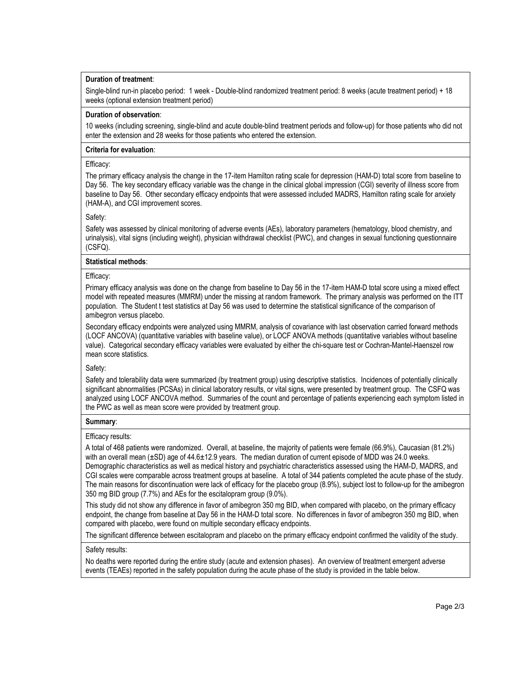# **Duration of treatment**:

Single-blind run-in placebo period: 1 week - Double-blind randomized treatment period: 8 weeks (acute treatment period) + 18 weeks (optional extension treatment period)

### **Duration of observation**:

10 weeks (including screening, single-blind and acute double-blind treatment periods and follow-up) for those patients who did not enter the extension and 28 weeks for those patients who entered the extension.

## **Criteria for evaluation**:

## Efficacy:

The primary efficacy analysis the change in the 17-item Hamilton rating scale for depression (HAM-D) total score from baseline to Day 56. The key secondary efficacy variable was the change in the clinical global impression (CGI) severity of illness score from baseline to Day 56. Other secondary efficacy endpoints that were assessed included MADRS, Hamilton rating scale for anxiety (HAM-A), and CGI improvement scores.

## Safety:

Safety was assessed by clinical monitoring of adverse events (AEs), laboratory parameters (hematology, blood chemistry, and urinalysis), vital signs (including weight), physician withdrawal checklist (PWC), and changes in sexual functioning questionnaire (CSFQ).

# **Statistical methods**:

## Efficacy:

Primary efficacy analysis was done on the change from baseline to Day 56 in the 17-item HAM-D total score using a mixed effect model with repeated measures (MMRM) under the missing at random framework. The primary analysis was performed on the ITT population. The Student t test statistics at Day 56 was used to determine the statistical significance of the comparison of amibegron versus placebo.

Secondary efficacy endpoints were analyzed using MMRM, analysis of covariance with last observation carried forward methods (LOCF ANCOVA) (quantitative variables with baseline value), or LOCF ANOVA methods (quantitative variables without baseline value). Categorical secondary efficacy variables were evaluated by either the chi-square test or Cochran-Mantel-Haenszel row mean score statistics.

# Safety:

Safety and tolerability data were summarized (by treatment group) using descriptive statistics. Incidences of potentially clinically significant abnormalities (PCSAs) in clinical laboratory results, or vital signs, were presented by treatment group. The CSFQ was analyzed using LOCF ANCOVA method. Summaries of the count and percentage of patients experiencing each symptom listed in the PWC as well as mean score were provided by treatment group.

#### **Summary**:

#### Efficacy results:

A total of 468 patients were randomized. Overall, at baseline, the majority of patients were female (66.9%), Caucasian (81.2%) with an overall mean (±SD) age of 44.6±12.9 years. The median duration of current episode of MDD was 24.0 weeks. Demographic characteristics as well as medical history and psychiatric characteristics assessed using the HAM-D, MADRS, and CGI scales were comparable across treatment groups at baseline. A total of 344 patients completed the acute phase of the study. The main reasons for discontinuation were lack of efficacy for the placebo group (8.9%), subject lost to follow-up for the amibegron 350 mg BID group (7.7%) and AEs for the escitalopram group (9.0%).

This study did not show any difference in favor of amibegron 350 mg BID, when compared with placebo, on the primary efficacy endpoint, the change from baseline at Day 56 in the HAM-D total score. No differences in favor of amibegron 350 mg BID, when compared with placebo, were found on multiple secondary efficacy endpoints.

The significant difference between escitalopram and placebo on the primary efficacy endpoint confirmed the validity of the study.

#### Safety results:

No deaths were reported during the entire study (acute and extension phases). An overview of treatment emergent adverse events (TEAEs) reported in the safety population during the acute phase of the study is provided in the table below.